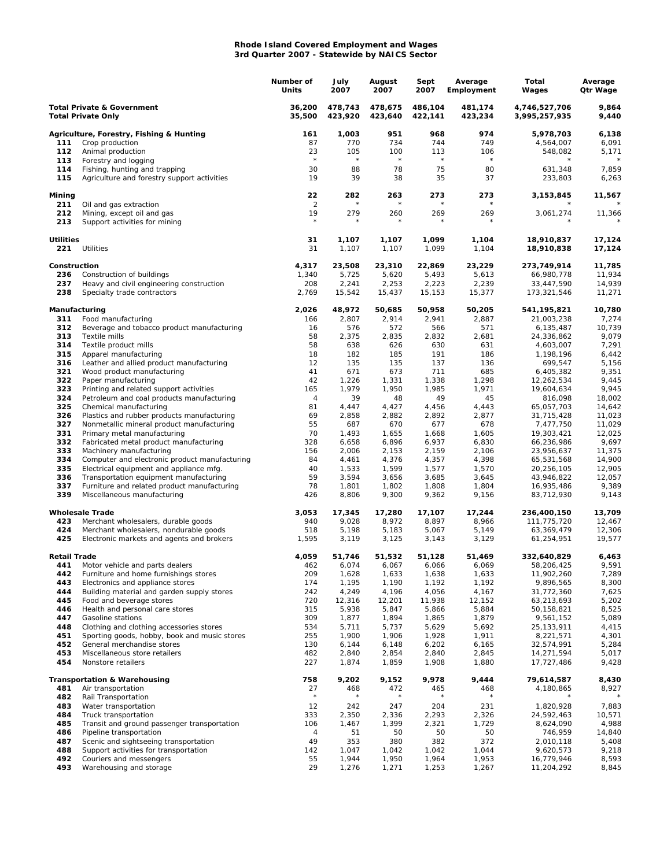## **Rhode Island Covered Employment and Wages 3rd Quarter 2007 - Statewide by NAICS Sector**

|                                                                    |                                                                                          | Number of<br>Units   | July<br>2007       | August<br>2007     | Sept<br>2007       | Average<br>Employment | Total<br>Wages                 | Average<br>Qtr Wage |
|--------------------------------------------------------------------|------------------------------------------------------------------------------------------|----------------------|--------------------|--------------------|--------------------|-----------------------|--------------------------------|---------------------|
| <b>Total Private &amp; Government</b><br><b>Total Private Only</b> |                                                                                          | 36,200<br>35,500     | 478,743<br>423,920 | 478,675<br>423,640 | 486,104<br>422,141 | 481,174<br>423,234    | 4,746,527,706<br>3,995,257,935 | 9,864<br>9,440      |
|                                                                    | Agriculture, Forestry, Fishing & Hunting                                                 | 161                  | 1,003              | 951                | 968                | 974                   | 5,978,703                      | 6,138               |
| 111                                                                | Crop production                                                                          | 87                   | 770                | 734                | 744                | 749                   | 4,564,007                      | 6,091               |
| 112                                                                | Animal production                                                                        | 23<br>$\star$        | 105<br>$\star$     | 100<br>$\star$     | 113<br>$\star$     | 106<br>$\star$        | 548,082                        | 5,171               |
| 113<br>114                                                         | Forestry and logging                                                                     | 30                   | 88                 | 78                 | 75                 | 80                    | 631,348                        | 7,859               |
| 115                                                                | Fishing, hunting and trapping<br>Agriculture and forestry support activities             | 19                   | 39                 | 38                 | 35                 | 37                    | 233,803                        | 6,263               |
| Mining                                                             |                                                                                          | 22                   | 282                | 263                | 273                | 273                   | 3,153,845                      | 11,567              |
| 211<br>212                                                         | Oil and gas extraction<br>Mining, except oil and gas                                     | $\overline{2}$<br>19 | $\star$<br>279     | 260                | $\star$<br>269     | $^{\star}$<br>269     | 3,061,274                      | 11,366              |
| 213                                                                | Support activities for mining                                                            | $\star$              | $^{\star}$         | $^{\star}$         |                    |                       |                                |                     |
| <b>Utilities</b><br>221                                            | Utilities                                                                                | 31<br>31             | 1,107<br>1,107     | 1,107<br>1,107     | 1,099<br>1,099     | 1,104<br>1,104        | 18,910,837<br>18,910,838       | 17,124<br>17,124    |
| Construction                                                       |                                                                                          | 4,317                | 23,508             | 23,310             | 22,869             | 23,229                | 273,749,914                    | 11,785              |
| 236                                                                | Construction of buildings                                                                | 1,340                | 5,725              | 5,620              | 5,493              | 5,613                 | 66,980,778                     | 11,934              |
| 237<br>238                                                         | Heavy and civil engineering construction<br>Specialty trade contractors                  | 208<br>2,769         | 2,241<br>15,542    | 2,253<br>15,437    | 2,223<br>15,153    | 2,239<br>15,377       | 33,447,590<br>173,321,546      | 14,939<br>11,271    |
| Manufacturing                                                      |                                                                                          | 2,026                | 48,972             | 50,685             | 50,958             | 50,205                | 541,195,821                    | 10,780              |
| 311                                                                | Food manufacturing                                                                       | 166                  | 2,807              | 2,914              | 2,941              | 2,887                 | 21,003,238                     | 7,274               |
| 312                                                                | Beverage and tobacco product manufacturing                                               | 16                   | 576                | 572                | 566                | 571                   | 6,135,487                      | 10,739              |
| 313                                                                | Textile mills                                                                            | 58                   | 2,375              | 2,835              | 2,832              | 2,681                 | 24,336,862                     | 9,079               |
| 314<br>315                                                         | Textile product mills<br>Apparel manufacturing                                           | 58<br>18             | 638<br>182         | 626<br>185         | 630<br>191         | 631<br>186            | 4,603,007<br>1,198,196         | 7,291<br>6,442      |
| 316                                                                | Leather and allied product manufacturing                                                 | 12                   | 135                | 135                | 137                | 136                   | 699,547                        | 5,156               |
| 321                                                                | Wood product manufacturing                                                               | 41                   | 671                | 673                | 711                | 685                   | 6,405,382                      | 9,351               |
| 322                                                                | Paper manufacturing                                                                      | 42                   | 1,226              | 1,331              | 1,338              | 1,298                 | 12,262,534                     | 9,445               |
| 323                                                                | Printing and related support activities                                                  | 165                  | 1,979              | 1,950              | 1,985              | 1,971                 | 19,604,634                     | 9,945               |
| 324                                                                | Petroleum and coal products manufacturing                                                | 4                    | 39                 | 48                 | 49                 | 45                    | 816,098                        | 18,002              |
| 325<br>326                                                         | Chemical manufacturing                                                                   | 81<br>69             | 4,447<br>2,858     | 4,427<br>2,882     | 4,456<br>2,892     | 4,443<br>2,877        | 65,057,703<br>31,715,428       | 14,642<br>11,023    |
| 327                                                                | Plastics and rubber products manufacturing<br>Nonmetallic mineral product manufacturing  | 55                   | 687                | 670                | 677                | 678                   | 7,477,750                      | 11,029              |
| 331                                                                | Primary metal manufacturing                                                              | 70                   | 1,493              | 1,655              | 1,668              | 1,605                 | 19,303,421                     | 12,025              |
| 332                                                                | Fabricated metal product manufacturing                                                   | 328                  | 6,658              | 6,896              | 6,937              | 6,830                 | 66,236,986                     | 9,697               |
| 333                                                                | Machinery manufacturing                                                                  | 156                  | 2,006              | 2,153              | 2,159              | 2,106                 | 23,956,637                     | 11,375              |
| 334                                                                | Computer and electronic product manufacturing                                            | 84                   | 4,461              | 4,376              | 4,357              | 4,398                 | 65,531,568                     | 14,900              |
| 335                                                                | Electrical equipment and appliance mfg.                                                  | 40                   | 1,533              | 1,599              | 1,577              | 1,570                 | 20,256,105                     | 12,905              |
| 336<br>337                                                         | Transportation equipment manufacturing                                                   | 59<br>78             | 3,594              | 3,656              | 3,685              | 3,645                 | 43,946,822                     | 12,057<br>9,389     |
| 339                                                                | Furniture and related product manufacturing<br>Miscellaneous manufacturing               | 426                  | 1,801<br>8,806     | 1,802<br>9,300     | 1,808<br>9,362     | 1,804<br>9,156        | 16,935,486<br>83,712,930       | 9,143               |
|                                                                    | <b>Wholesale Trade</b>                                                                   | 3,053                | 17,345             | 17,280             | 17,107             | 17,244                | 236,400,150                    | 13,709              |
| 423                                                                | Merchant wholesalers, durable goods                                                      | 940                  | 9,028              | 8,972              | 8,897              | 8,966                 | 111,775,720                    | 12,467              |
| 424                                                                | Merchant wholesalers, nondurable goods                                                   | 518                  | 5,198              | 5,183              | 5,067              | 5,149                 | 63,369,479                     | 12,306              |
| 425                                                                | Electronic markets and agents and brokers                                                | 1,595                | 3,119              | 3,125              | 3,143              | 3,129                 | 61,254,951                     | 19,577              |
| Retail Trade<br>441                                                |                                                                                          | 4,059<br>462         | 51.746<br>6,074    | 51,532<br>6,067    | 51,128             | 51,469<br>6,069       | 332,640,829<br>58,206,425      | 6,463<br>9,591      |
| 442                                                                | Motor vehicle and parts dealers<br>Furniture and home furnishings stores                 | 209                  | 1,628              | 1,633              | 6,066<br>1,638     | 1,633                 | 11,902,260                     | 7,289               |
| 443                                                                | Electronics and appliance stores                                                         | 174                  | 1,195              | 1,190              | 1,192              | 1,192                 | 9,896,565                      | 8,300               |
| 444                                                                | Building material and garden supply stores                                               | 242                  | 4,249              | 4,196              | 4,056              | 4,167                 | 31,772,360                     | 7,625               |
| 445                                                                | Food and beverage stores                                                                 | 720                  | 12,316             | 12,201             | 11,938             | 12,152                | 63,213,693                     | 5,202               |
| 446                                                                | Health and personal care stores                                                          | 315                  | 5,938              | 5,847              | 5,866              | 5,884                 | 50,158,821                     | 8,525               |
| 447                                                                | Gasoline stations                                                                        | 309                  | 1,877              | 1,894              | 1,865              | 1,879                 | 9,561,152                      | 5,089               |
| 448<br>451                                                         | Clothing and clothing accessories stores<br>Sporting goods, hobby, book and music stores | 534<br>255           | 5,711<br>1,900     | 5,737<br>1,906     | 5,629<br>1,928     | 5,692<br>1,911        | 25, 133, 911<br>8,221,571      | 4,415<br>4,301      |
| 452                                                                | General merchandise stores                                                               | 130                  | 6,144              | 6,148              | 6,202              | 6,165                 | 32,574,991                     | 5,284               |
| 453                                                                | Miscellaneous store retailers                                                            | 482                  | 2,840              | 2,854              | 2,840              | 2,845                 | 14,271,594                     | 5,017               |
| 454                                                                | Nonstore retailers                                                                       | 227                  | 1,874              | 1,859              | 1,908              | 1,880                 | 17,727,486                     | 9,428               |
|                                                                    | <b>Transportation &amp; Warehousing</b>                                                  | 758                  | 9,202              | 9,152              | 9,978              | 9,444                 | 79,614,587                     | 8,430               |
| 481                                                                | Air transportation                                                                       | 27<br>$^{\star}$     | 468                | 472                | 465                | 468                   | 4,180,865                      | 8,927               |
| 482<br>483                                                         | Rail Transportation                                                                      | 12                   | 242                | 247                | 204                | 231                   | 1,820,928                      | 7,883               |
| 484                                                                | Water transportation<br>Truck transportation                                             | 333                  | 2,350              | 2,336              | 2,293              | 2,326                 | 24,592,463                     | 10,571              |
| 485                                                                | Transit and ground passenger transportation                                              | 106                  | 1,467              | 1,399              | 2,321              | 1,729                 | 8,624,090                      | 4,988               |
| 486                                                                | Pipeline transportation                                                                  | 4                    | 51                 | 50                 | 50                 | 50                    | 746,959                        | 14,840              |
| 487                                                                | Scenic and sightseeing transportation                                                    | 49                   | 353                | 380                | 382                | 372                   | 2,010,118                      | 5,408               |
| 488                                                                | Support activities for transportation                                                    | 142                  | 1,047              | 1,042              | 1,042              | 1,044                 | 9,620,573                      | 9,218               |
| 492                                                                | Couriers and messengers                                                                  | 55                   | 1,944              | 1,950              | 1,964              | 1,953                 | 16,779,946                     | 8,593               |
| 493                                                                | Warehousing and storage                                                                  | 29                   | 1,276              | 1,271              | 1,253              | 1,267                 | 11,204,292                     | 8,845               |